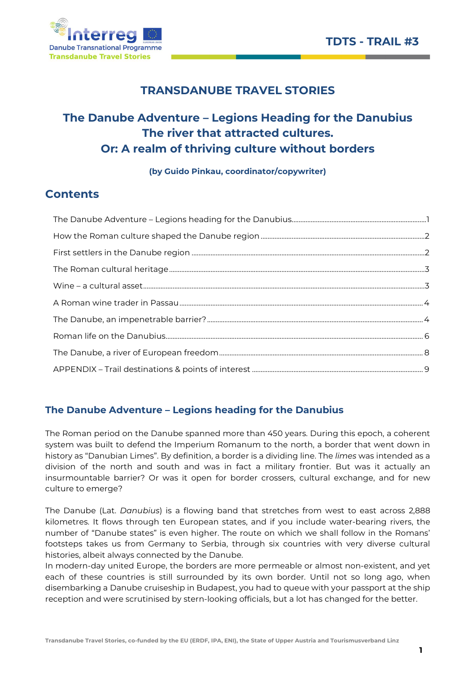

# TRANSDANUBE TRAVEL STORIES

# The Danube Adventure – Legions Heading for the Danubius The river that attracted cultures. Or: A realm of thriving culture without borders

(by Guido Pinkau, coordinator/copywriter)

# **Contents**

# The Danube Adventure – Legions heading for the Danubius

The Roman period on the Danube spanned more than 450 years. During this epoch, a coherent system was built to defend the Imperium Romanum to the north, a border that went down in history as "Danubian Limes". By definition, a border is a dividing line. The *limes* was intended as a division of the north and south and was in fact a military frontier. But was it actually an insurmountable barrier? Or was it open for border crossers, cultural exchange, and for new culture to emerge?

The Danube (Lat. Danubius) is a flowing band that stretches from west to east across 2,888 kilometres. It flows through ten European states, and if you include water-bearing rivers, the number of "Danube states" is even higher. The route on which we shall follow in the Romans' footsteps takes us from Germany to Serbia, through six countries with very diverse cultural histories, albeit always connected by the Danube.

In modern-day united Europe, the borders are more permeable or almost non-existent, and yet each of these countries is still surrounded by its own border. Until not so long ago, when disembarking a Danube cruiseship in Budapest, you had to queue with your passport at the ship reception and were scrutinised by stern-looking officials, but a lot has changed for the better.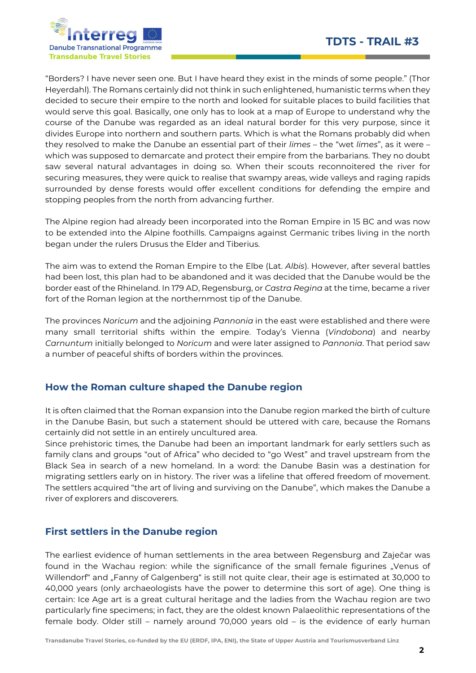

"Borders? I have never seen one. But I have heard they exist in the minds of some people." (Thor Heyerdahl). The Romans certainly did not think in such enlightened, humanistic terms when they decided to secure their empire to the north and looked for suitable places to build facilities that would serve this goal. Basically, one only has to look at a map of Europe to understand why the course of the Danube was regarded as an ideal natural border for this very purpose, since it divides Europe into northern and southern parts. Which is what the Romans probably did when they resolved to make the Danube an essential part of their limes – the "wet limes", as it were – which was supposed to demarcate and protect their empire from the barbarians. They no doubt saw several natural advantages in doing so. When their scouts reconnoitered the river for securing measures, they were quick to realise that swampy areas, wide valleys and raging rapids surrounded by dense forests would offer excellent conditions for defending the empire and stopping peoples from the north from advancing further.

The Alpine region had already been incorporated into the Roman Empire in 15 BC and was now to be extended into the Alpine foothills. Campaigns against Germanic tribes living in the north began under the rulers Drusus the Elder and Tiberius.

The aim was to extend the Roman Empire to the Elbe (Lat. Albis). However, after several battles had been lost, this plan had to be abandoned and it was decided that the Danube would be the border east of the Rhineland. In 179 AD, Regensburg, or Castra Regina at the time, became a river fort of the Roman legion at the northernmost tip of the Danube.

The provinces Noricum and the adjoining Pannonia in the east were established and there were many small territorial shifts within the empire. Today's Vienna (Vindobona) and nearby Carnuntum initially belonged to Noricum and were later assigned to Pannonia. That period saw a number of peaceful shifts of borders within the provinces.

## How the Roman culture shaped the Danube region

It is often claimed that the Roman expansion into the Danube region marked the birth of culture in the Danube Basin, but such a statement should be uttered with care, because the Romans certainly did not settle in an entirely uncultured area.

Since prehistoric times, the Danube had been an important landmark for early settlers such as family clans and groups "out of Africa" who decided to "go West" and travel upstream from the Black Sea in search of a new homeland. In a word: the Danube Basin was a destination for migrating settlers early on in history. The river was a lifeline that offered freedom of movement. The settlers acquired "the art of living and surviving on the Danube", which makes the Danube a river of explorers and discoverers.

## First settlers in the Danube region

The earliest evidence of human settlements in the area between Regensburg and Zaječar was found in the Wachau region: while the significance of the small female figurines "Venus of Willendorf" and "Fanny of Galgenberg" is still not quite clear, their age is estimated at 30,000 to 40,000 years (only archaeologists have the power to determine this sort of age). One thing is certain: Ice Age art is a great cultural heritage and the ladies from the Wachau region are two particularly fine specimens; in fact, they are the oldest known Palaeolithic representations of the female body. Older still – namely around 70,000 years old – is the evidence of early human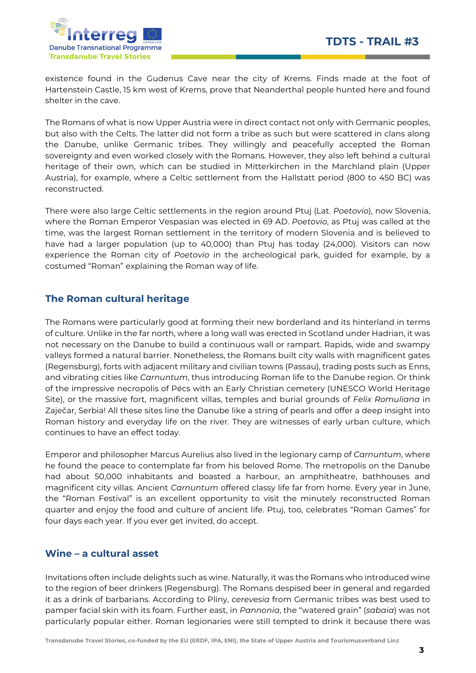

existence found in the Gudenus Cave near the city of Krems. Finds made at the foot of Hartenstein Castle, 15 km west of Krems, prove that Neanderthal people hunted here and found shelter in the cave.

The Romans of what is now Upper Austria were in direct contact not only with Germanic peoples, but also with the Celts. The latter did not form a tribe as such but were scattered in clans along the Danube, unlike Germanic tribes. They willingly and peacefully accepted the Roman sovereignty and even worked closely with the Romans. However, they also left behind a cultural heritage of their own, which can be studied in Mitterkirchen in the Marchland plain (Upper Austria), for example, where a Celtic settlement from the Hallstatt period (800 to 450 BC) was reconstructed.

There were also large Celtic settlements in the region around Ptuj (Lat. Poetovio), now Slovenia, where the Roman Emperor Vespasian was elected in 69 AD. Poetovio, as Ptuj was called at the time, was the largest Roman settlement in the territory of modern Slovenia and is believed to have had a larger population (up to 40,000) than Ptuj has today (24,000). Visitors can now experience the Roman city of Poetovio in the archeological park, guided for example, by a costumed "Roman" explaining the Roman way of life.

### The Roman cultural heritage

The Romans were particularly good at forming their new borderland and its hinterland in terms of culture. Unlike in the far north, where a long wall was erected in Scotland under Hadrian, it was not necessary on the Danube to build a continuous wall or rampart. Rapids, wide and swampy valleys formed a natural barrier. Nonetheless, the Romans built city walls with magnificent gates (Regensburg), forts with adjacent military and civilian towns (Passau), trading posts such as Enns, and vibrating cities like Carnuntum, thus introducing Roman life to the Danube region. Or think of the impressive necropolis of Pécs with an Early Christian cemetery (UNESCO World Heritage Site), or the massive fort, magnificent villas, temples and burial grounds of Felix Romuliana in Zaječar, Serbia! All these sites line the Danube like a string of pearls and offer a deep insight into Roman history and everyday life on the river. They are witnesses of early urban culture, which continues to have an effect today.

Emperor and philosopher Marcus Aurelius also lived in the legionary camp of Carnuntum, where he found the peace to contemplate far from his beloved Rome. The metropolis on the Danube had about 50,000 inhabitants and boasted a harbour, an amphitheatre, bathhouses and magnificent city villas. Ancient Carnuntum offered classy life far from home. Every year in June, the "Roman Festival" is an excellent opportunity to visit the minutely reconstructed Roman quarter and enjoy the food and culture of ancient life. Ptuj, too, celebrates "Roman Games" for four days each year. If you ever get invited, do accept.

### Wine – a cultural asset

Invitations often include delights such as wine. Naturally, it was the Romans who introduced wine to the region of beer drinkers (Regensburg). The Romans despised beer in general and regarded it as a drink of barbarians. According to Pliny, cerevesia from Germanic tribes was best used to pamper facial skin with its foam. Further east, in Pannonia, the "watered grain" (sabaia) was not particularly popular either. Roman legionaries were still tempted to drink it because there was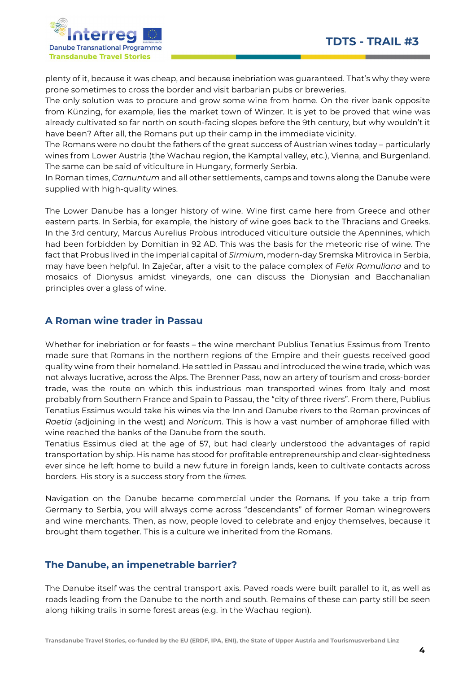

plenty of it, because it was cheap, and because inebriation was guaranteed. That's why they were prone sometimes to cross the border and visit barbarian pubs or breweries.

The only solution was to procure and grow some wine from home. On the river bank opposite from Künzing, for example, lies the market town of Winzer. It is yet to be proved that wine was already cultivated so far north on south-facing slopes before the 9th century, but why wouldn't it have been? After all, the Romans put up their camp in the immediate vicinity.

The Romans were no doubt the fathers of the great success of Austrian wines today – particularly wines from Lower Austria (the Wachau region, the Kamptal valley, etc.), Vienna, and Burgenland. The same can be said of viticulture in Hungary, formerly Serbia.

In Roman times, Carnuntum and all other settlements, camps and towns along the Danube were supplied with high-quality wines.

The Lower Danube has a longer history of wine. Wine first came here from Greece and other eastern parts. In Serbia, for example, the history of wine goes back to the Thracians and Greeks. In the 3rd century, Marcus Aurelius Probus introduced viticulture outside the Apennines, which had been forbidden by Domitian in 92 AD. This was the basis for the meteoric rise of wine. The fact that Probus lived in the imperial capital of Sirmium, modern-day Sremska Mitrovica in Serbia, may have been helpful. In Zaječar, after a visit to the palace complex of Felix Romuliana and to mosaics of Dionysus amidst vineyards, one can discuss the Dionysian and Bacchanalian principles over a glass of wine.

### A Roman wine trader in Passau

Whether for inebriation or for feasts – the wine merchant Publius Tenatius Essimus from Trento made sure that Romans in the northern regions of the Empire and their guests received good quality wine from their homeland. He settled in Passau and introduced the wine trade, which was not always lucrative, across the Alps. The Brenner Pass, now an artery of tourism and cross-border trade, was the route on which this industrious man transported wines from Italy and most probably from Southern France and Spain to Passau, the "city of three rivers". From there, Publius Tenatius Essimus would take his wines via the Inn and Danube rivers to the Roman provinces of Raetia (adjoining in the west) and Noricum. This is how a vast number of amphorae filled with wine reached the banks of the Danube from the south.

Tenatius Essimus died at the age of 57, but had clearly understood the advantages of rapid transportation by ship. His name has stood for profitable entrepreneurship and clear-sightedness ever since he left home to build a new future in foreign lands, keen to cultivate contacts across borders. His story is a success story from the limes.

Navigation on the Danube became commercial under the Romans. If you take a trip from Germany to Serbia, you will always come across "descendants" of former Roman winegrowers and wine merchants. Then, as now, people loved to celebrate and enjoy themselves, because it brought them together. This is a culture we inherited from the Romans.

### The Danube, an impenetrable barrier?

The Danube itself was the central transport axis. Paved roads were built parallel to it, as well as roads leading from the Danube to the north and south. Remains of these can party still be seen along hiking trails in some forest areas (e.g. in the Wachau region).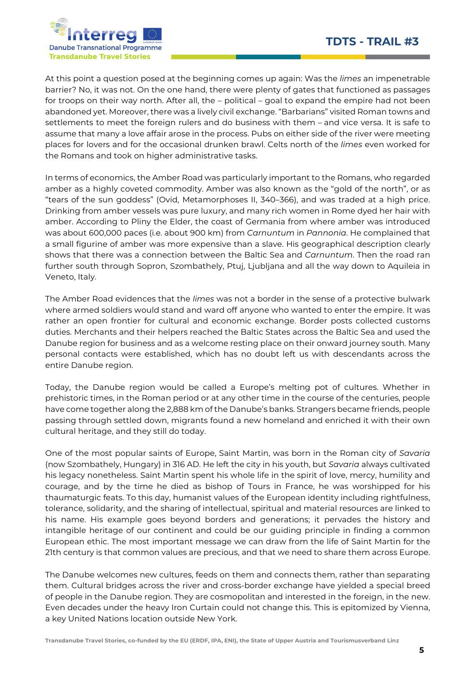

At this point a question posed at the beginning comes up again: Was the limes an impenetrable barrier? No, it was not. On the one hand, there were plenty of gates that functioned as passages for troops on their way north. After all, the – political – goal to expand the empire had not been abandoned yet. Moreover, there was a lively civil exchange. "Barbarians" visited Roman towns and settlements to meet the foreign rulers and do business with them – and vice versa. It is safe to assume that many a love affair arose in the process. Pubs on either side of the river were meeting places for lovers and for the occasional drunken brawl. Celts north of the limes even worked for the Romans and took on higher administrative tasks.

In terms of economics, the Amber Road was particularly important to the Romans, who regarded amber as a highly coveted commodity. Amber was also known as the "gold of the north", or as "tears of the sun goddess" (Ovid, Metamorphoses II, 340–366), and was traded at a high price. Drinking from amber vessels was pure luxury, and many rich women in Rome dyed her hair with amber. According to Pliny the Elder, the coast of Germania from where amber was introduced was about 600,000 paces (i.e. about 900 km) from Carnuntum in Pannonia. He complained that a small figurine of amber was more expensive than a slave. His geographical description clearly shows that there was a connection between the Baltic Sea and Carnuntum. Then the road ran further south through Sopron, Szombathely, Ptuj, Ljubljana and all the way down to Aquileia in Veneto, Italy.

The Amber Road evidences that the limes was not a border in the sense of a protective bulwark where armed soldiers would stand and ward off anyone who wanted to enter the empire. It was rather an open frontier for cultural and economic exchange. Border posts collected customs duties. Merchants and their helpers reached the Baltic States across the Baltic Sea and used the Danube region for business and as a welcome resting place on their onward journey south. Many personal contacts were established, which has no doubt left us with descendants across the entire Danube region.

Today, the Danube region would be called a Europe's melting pot of cultures. Whether in prehistoric times, in the Roman period or at any other time in the course of the centuries, people have come together along the 2,888 km of the Danube's banks. Strangers became friends, people passing through settled down, migrants found a new homeland and enriched it with their own cultural heritage, and they still do today.

One of the most popular saints of Europe, Saint Martin, was born in the Roman city of Savaria (now Szombathely, Hungary) in 316 AD. He left the city in his youth, but Savaria always cultivated his legacy nonetheless. Saint Martin spent his whole life in the spirit of love, mercy, humility and courage, and by the time he died as bishop of Tours in France, he was worshipped for his thaumaturgic feats. To this day, humanist values of the European identity including rightfulness, tolerance, solidarity, and the sharing of intellectual, spiritual and material resources are linked to his name. His example goes beyond borders and generations; it pervades the history and intangible heritage of our continent and could be our guiding principle in finding a common European ethic. The most important message we can draw from the life of Saint Martin for the 21th century is that common values are precious, and that we need to share them across Europe.

The Danube welcomes new cultures, feeds on them and connects them, rather than separating them. Cultural bridges across the river and cross-border exchange have yielded a special breed of people in the Danube region. They are cosmopolitan and interested in the foreign, in the new. Even decades under the heavy Iron Curtain could not change this. This is epitomized by Vienna, a key United Nations location outside New York.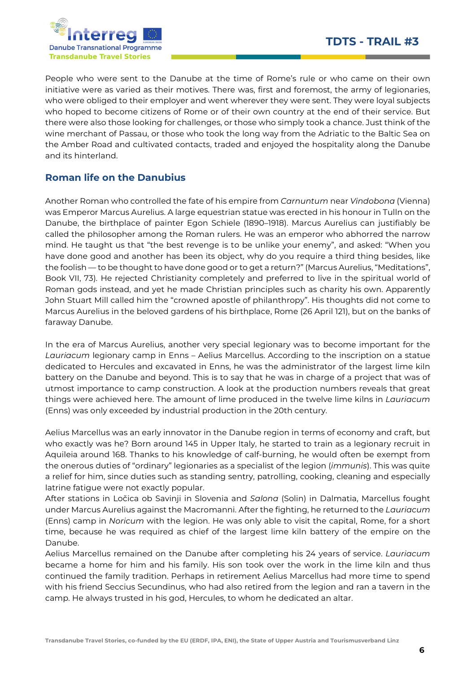

People who were sent to the Danube at the time of Rome's rule or who came on their own initiative were as varied as their motives. There was, first and foremost, the army of legionaries, who were obliged to their employer and went wherever they were sent. They were loyal subjects who hoped to become citizens of Rome or of their own country at the end of their service. But there were also those looking for challenges, or those who simply took a chance. Just think of the wine merchant of Passau, or those who took the long way from the Adriatic to the Baltic Sea on the Amber Road and cultivated contacts, traded and enjoyed the hospitality along the Danube and its hinterland.

## Roman life on the Danubius

Another Roman who controlled the fate of his empire from Carnuntum near Vindobona (Vienna) was Emperor Marcus Aurelius. A large equestrian statue was erected in his honour in Tulln on the Danube, the birthplace of painter Egon Schiele (1890–1918). Marcus Aurelius can justifiably be called the philosopher among the Roman rulers. He was an emperor who abhorred the narrow mind. He taught us that "the best revenge is to be unlike your enemy", and asked: "When you have done good and another has been its object, why do you require a third thing besides, like the foolish — to be thought to have done good or to get a return?" (Marcus Aurelius, "Meditations", Book VII, 73). He rejected Christianity completely and preferred to live in the spiritual world of Roman gods instead, and yet he made Christian principles such as charity his own. Apparently John Stuart Mill called him the "crowned apostle of philanthropy". His thoughts did not come to Marcus Aurelius in the beloved gardens of his birthplace, Rome (26 April 121), but on the banks of faraway Danube.

In the era of Marcus Aurelius, another very special legionary was to become important for the Lauriacum legionary camp in Enns – Aelius Marcellus. According to the inscription on a statue dedicated to Hercules and excavated in Enns, he was the administrator of the largest lime kiln battery on the Danube and beyond. This is to say that he was in charge of a project that was of utmost importance to camp construction. A look at the production numbers reveals that great things were achieved here. The amount of lime produced in the twelve lime kilns in Lauriacum (Enns) was only exceeded by industrial production in the 20th century.

Aelius Marcellus was an early innovator in the Danube region in terms of economy and craft, but who exactly was he? Born around 145 in Upper Italy, he started to train as a legionary recruit in Aquileia around 168. Thanks to his knowledge of calf-burning, he would often be exempt from the onerous duties of "ordinary" legionaries as a specialist of the legion (immunis). This was quite a relief for him, since duties such as standing sentry, patrolling, cooking, cleaning and especially latrine fatigue were not exactly popular.

After stations in Ločica ob Savinji in Slovenia and Salona (Solin) in Dalmatia, Marcellus fought under Marcus Aurelius against the Macromanni. After the fighting, he returned to the Lauriacum (Enns) camp in Noricum with the legion. He was only able to visit the capital, Rome, for a short time, because he was required as chief of the largest lime kiln battery of the empire on the Danube.

Aelius Marcellus remained on the Danube after completing his 24 years of service. Lauriacum became a home for him and his family. His son took over the work in the lime kiln and thus continued the family tradition. Perhaps in retirement Aelius Marcellus had more time to spend with his friend Seccius Secundinus, who had also retired from the legion and ran a tavern in the camp. He always trusted in his god, Hercules, to whom he dedicated an altar.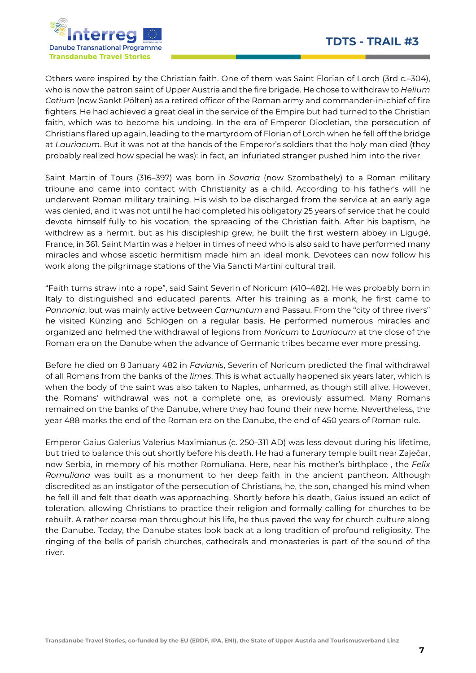

Others were inspired by the Christian faith. One of them was Saint Florian of Lorch (3rd c.–304), who is now the patron saint of Upper Austria and the fire brigade. He chose to withdraw to *Helium* Cetium (now Sankt Pölten) as a retired officer of the Roman army and commander-in-chief of fire fighters. He had achieved a great deal in the service of the Empire but had turned to the Christian faith, which was to become his undoing. In the era of Emperor Diocletian, the persecution of Christians flared up again, leading to the martyrdom of Florian of Lorch when he fell off the bridge at Lauriacum. But it was not at the hands of the Emperor's soldiers that the holy man died (they probably realized how special he was): in fact, an infuriated stranger pushed him into the river.

Saint Martin of Tours (316–397) was born in Savaria (now Szombathely) to a Roman military tribune and came into contact with Christianity as a child. According to his father's will he underwent Roman military training. His wish to be discharged from the service at an early age was denied, and it was not until he had completed his obligatory 25 years of service that he could devote himself fully to his vocation, the spreading of the Christian faith. After his baptism, he withdrew as a hermit, but as his discipleship grew, he built the first western abbey in Ligugé, France, in 361. Saint Martin was a helper in times of need who is also said to have performed many miracles and whose ascetic hermitism made him an ideal monk. Devotees can now follow his work along the pilgrimage stations of the Via Sancti Martini cultural trail.

"Faith turns straw into a rope", said Saint Severin of Noricum (410–482). He was probably born in Italy to distinguished and educated parents. After his training as a monk, he first came to Pannonia, but was mainly active between Carnuntum and Passau. From the "city of three rivers" he visited Künzing and Schlögen on a regular basis. He performed numerous miracles and organized and helmed the withdrawal of legions from Noricum to Lauriacum at the close of the Roman era on the Danube when the advance of Germanic tribes became ever more pressing.

Before he died on 8 January 482 in Favianis, Severin of Noricum predicted the final withdrawal of all Romans from the banks of the limes. This is what actually happened six years later, which is when the body of the saint was also taken to Naples, unharmed, as though still alive. However, the Romans' withdrawal was not a complete one, as previously assumed. Many Romans remained on the banks of the Danube, where they had found their new home. Nevertheless, the year 488 marks the end of the Roman era on the Danube, the end of 450 years of Roman rule.

Emperor Gaius Galerius Valerius Maximianus (c. 250–311 AD) was less devout during his lifetime, but tried to balance this out shortly before his death. He had a funerary temple built near Zaječar, now Serbia, in memory of his mother Romuliana. Here, near his mother's birthplace, the Felix Romuliana was built as a monument to her deep faith in the ancient pantheon. Although discredited as an instigator of the persecution of Christians, he, the son, changed his mind when he fell ill and felt that death was approaching. Shortly before his death, Gaius issued an edict of toleration, allowing Christians to practice their religion and formally calling for churches to be rebuilt. A rather coarse man throughout his life, he thus paved the way for church culture along the Danube. Today, the Danube states look back at a long tradition of profound religiosity. The ringing of the bells of parish churches, cathedrals and monasteries is part of the sound of the river.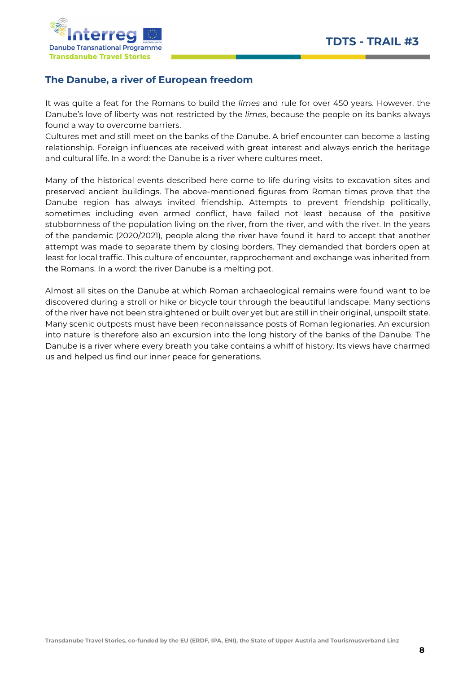

## The Danube, a river of European freedom

It was quite a feat for the Romans to build the *limes* and rule for over 450 years. However, the Danube's love of liberty was not restricted by the limes, because the people on its banks always found a way to overcome barriers.

Cultures met and still meet on the banks of the Danube. A brief encounter can become a lasting relationship. Foreign influences ate received with great interest and always enrich the heritage and cultural life. In a word: the Danube is a river where cultures meet.

Many of the historical events described here come to life during visits to excavation sites and preserved ancient buildings. The above-mentioned figures from Roman times prove that the Danube region has always invited friendship. Attempts to prevent friendship politically, sometimes including even armed conflict, have failed not least because of the positive stubbornness of the population living on the river, from the river, and with the river. In the years of the pandemic (2020/2021), people along the river have found it hard to accept that another attempt was made to separate them by closing borders. They demanded that borders open at least for local traffic. This culture of encounter, rapprochement and exchange was inherited from the Romans. In a word: the river Danube is a melting pot.

Almost all sites on the Danube at which Roman archaeological remains were found want to be discovered during a stroll or hike or bicycle tour through the beautiful landscape. Many sections of the river have not been straightened or built over yet but are still in their original, unspoilt state. Many scenic outposts must have been reconnaissance posts of Roman legionaries. An excursion into nature is therefore also an excursion into the long history of the banks of the Danube. The Danube is a river where every breath you take contains a whiff of history. Its views have charmed us and helped us find our inner peace for generations.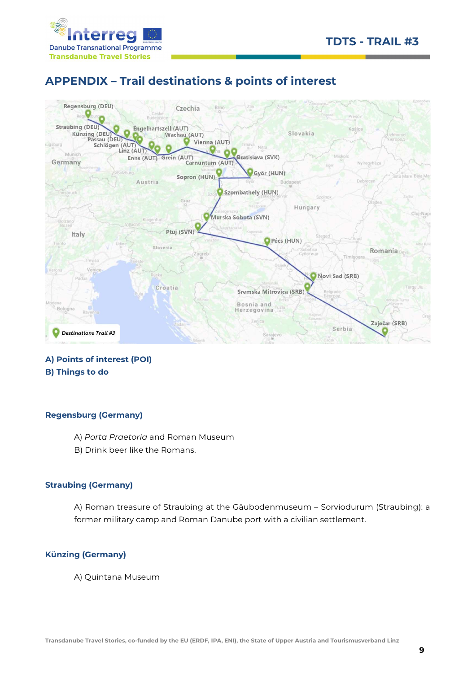



# APPENDIX – Trail destinations & points of interest



### A) Points of interest (POI) B) Things to do

#### Regensburg (Germany)

- A) Porta Praetoria and Roman Museum
- B) Drink beer like the Romans.

#### Straubing (Germany)

A) Roman treasure of Straubing at the Gäubodenmuseum – Sorviodurum (Straubing): a former military camp and Roman Danube port with a civilian settlement.

#### Künzing (Germany)

A) Quintana Museum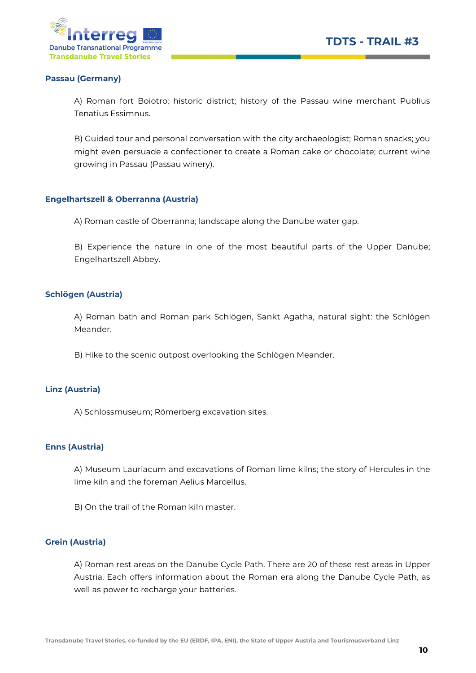

#### Passau (Germany)

A) Roman fort Boiotro; historic district; history of the Passau wine merchant Publius Tenatius Essimnus.

B) Guided tour and personal conversation with the city archaeologist; Roman snacks; you might even persuade a confectioner to create a Roman cake or chocolate; current wine growing in Passau (Passau winery).

#### Engelhartszell & Oberranna (Austria)

A) Roman castle of Oberranna; landscape along the Danube water gap.

B) Experience the nature in one of the most beautiful parts of the Upper Danube; Engelhartszell Abbey.

#### Schlögen (Austria)

A) Roman bath and Roman park Schlögen, Sankt Agatha, natural sight: the Schlögen Meander.

B) Hike to the scenic outpost overlooking the Schlögen Meander.

#### Linz (Austria)

A) Schlossmuseum; Römerberg excavation sites.

#### Enns (Austria)

A) Museum Lauriacum and excavations of Roman lime kilns; the story of Hercules in the lime kiln and the foreman Aelius Marcellus.

B) On the trail of the Roman kiln master.

#### Grein (Austria)

A) Roman rest areas on the Danube Cycle Path. There are 20 of these rest areas in Upper Austria. Each offers information about the Roman era along the Danube Cycle Path, as well as power to recharge your batteries.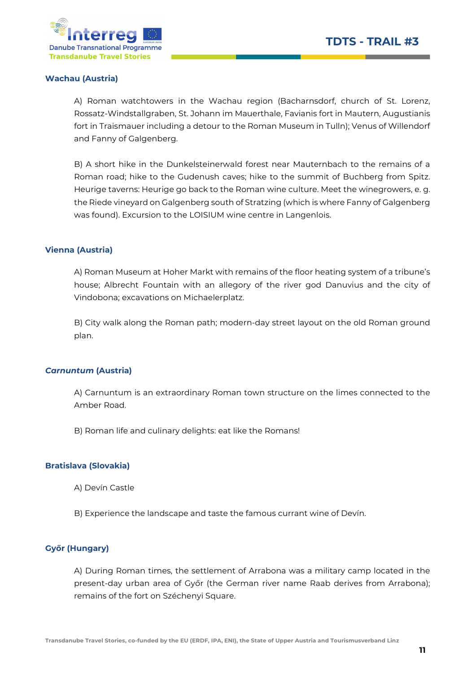

#### Wachau (Austria)

A) Roman watchtowers in the Wachau region (Bacharnsdorf, church of St. Lorenz, Rossatz-Windstallgraben, St. Johann im Mauerthale, Favianis fort in Mautern, Augustianis fort in Traismauer including a detour to the Roman Museum in Tulln); Venus of Willendorf and Fanny of Galgenberg.

B) A short hike in the Dunkelsteinerwald forest near Mauternbach to the remains of a Roman road; hike to the Gudenush caves; hike to the summit of Buchberg from Spitz. Heurige taverns: Heurige go back to the Roman wine culture. Meet the winegrowers, e. g. the Riede vineyard on Galgenberg south of Stratzing (which is where Fanny of Galgenberg was found). Excursion to the LOISIUM wine centre in Langenlois.

#### Vienna (Austria)

A) Roman Museum at Hoher Markt with remains of the floor heating system of a tribune's house; Albrecht Fountain with an allegory of the river god Danuvius and the city of Vindobona; excavations on Michaelerplatz.

B) City walk along the Roman path; modern-day street layout on the old Roman ground plan.

#### Carnuntum (Austria)

A) Carnuntum is an extraordinary Roman town structure on the limes connected to the Amber Road.

B) Roman life and culinary delights: eat like the Romans!

#### Bratislava (Slovakia)

- A) Devín Castle
- B) Experience the landscape and taste the famous currant wine of Devín.

#### Győr (Hungary)

A) During Roman times, the settlement of Arrabona was a military camp located in the present-day urban area of Győr (the German river name Raab derives from Arrabona); remains of the fort on Széchenyi Square.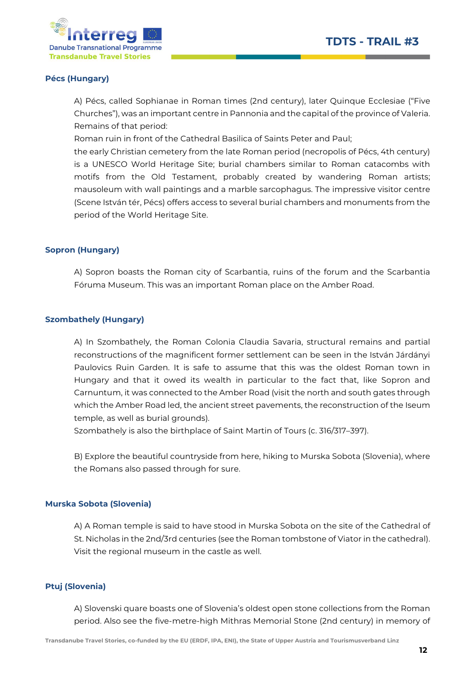



#### Pécs (Hungary)

A) Pécs, called Sophianae in Roman times (2nd century), later Quinque Ecclesiae ("Five Churches"), was an important centre in Pannonia and the capital of the province of Valeria. Remains of that period:

Roman ruin in front of the Cathedral Basilica of Saints Peter and Paul;

the early Christian cemetery from the late Roman period (necropolis of Pécs, 4th century) is a UNESCO World Heritage Site; burial chambers similar to Roman catacombs with motifs from the Old Testament, probably created by wandering Roman artists; mausoleum with wall paintings and a marble sarcophagus. The impressive visitor centre (Scene István tér, Pécs) offers access to several burial chambers and monuments from the period of the World Heritage Site.

#### Sopron (Hungary)

A) Sopron boasts the Roman city of Scarbantia, ruins of the forum and the Scarbantia Fóruma Museum. This was an important Roman place on the Amber Road.

#### Szombathely (Hungary)

A) In Szombathely, the Roman Colonia Claudia Savaria, structural remains and partial reconstructions of the magnificent former settlement can be seen in the István Járdányi Paulovics Ruin Garden. It is safe to assume that this was the oldest Roman town in Hungary and that it owed its wealth in particular to the fact that, like Sopron and Carnuntum, it was connected to the Amber Road (visit the north and south gates through which the Amber Road led, the ancient street pavements, the reconstruction of the Iseum temple, as well as burial grounds).

Szombathely is also the birthplace of Saint Martin of Tours (c. 316/317–397).

B) Explore the beautiful countryside from here, hiking to Murska Sobota (Slovenia), where the Romans also passed through for sure.

#### Murska Sobota (Slovenia)

A) A Roman temple is said to have stood in Murska Sobota on the site of the Cathedral of St. Nicholas in the 2nd/3rd centuries (see the Roman tombstone of Viator in the cathedral). Visit the regional museum in the castle as well.

#### Ptuj (Slovenia)

A) Slovenski quare boasts one of Slovenia's oldest open stone collections from the Roman period. Also see the five-metre-high Mithras Memorial Stone (2nd century) in memory of